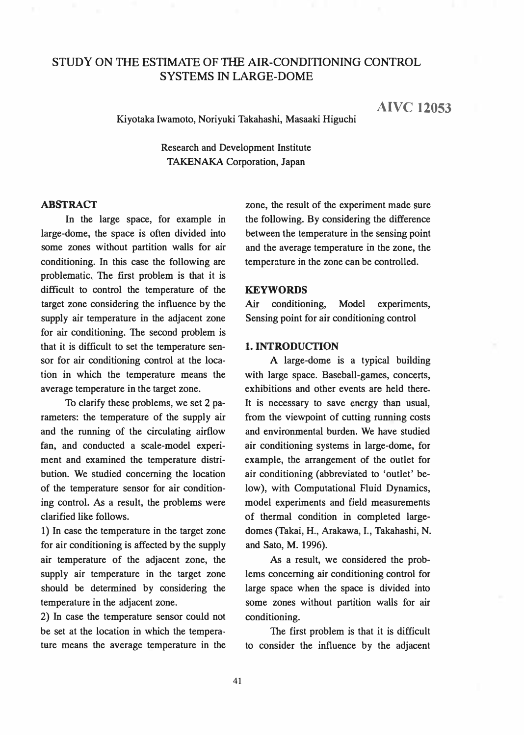# STUDY ON THE ESTIMATE OF THE AIR-CONDITIONING CONTROL SYSTEMS IN LARGE-DOME

AIVC 12053

Kiyotaka Iwamoto, Noriyuki Takahashi, Masaaki Higuchi

Research and Development Institute TAKENAKA Corporation, Japan

### ABSTRACT

In the large space, for example in large-dome, the space is often divided into some zones without partition walls for air conditioning. In this case the following are problematic, The first problem is that it is difficult to control the temperature of the target zone considering the influence by the supply air temperature in the adjacent zone for air conditioning. The second problem is that it is difficult to set the temperature sensor for air conditioning control at the location in which the temperature means the average temperature in the target zone.

To clarify these problems, we set 2 parameters: the temperature of the supply air and the running of the circulating airflow fan, and conducted a scale-model experiment and examined the temperature distribution. We studied concerning the location of the temperature sensor for air conditioning control. As a result, the problems were clarified like follows.

1) In case the temperature in the target zone for air conditioning is affected by the supply air temperature of the adjacent zone, the supply air temperature in the target zone should be determined by considering the temperature in the adjacent zone.

2) In case the temperature sensor could not be set at the location in which the temperature means the average temperature in the

zone, the result of the experiment made sure the following. By considering the difference between the temperature in the sensing point and the average temperature in the zone, the temperature in the zone can be controlled.

#### **KEYWORDS**

Air conditioning, Model experiments, Sensing point for air conditioning control

### 1. INTRODUCTION

A large-dome is a typical building with large space. Baseball-games, concerts, exhibitions and other events are held there. It is necessary to save energy than usual, from the viewpoint of cutting running costs and environmental burden. We have studied air conditioning systems in large-dome, for example, the arrangement of the outlet for air conditioning (abbreviated to 'outlet' below), with Computational Fluid Dynamics, model experiments and field measurements of thermal condition in completed largedomes (Takai, H., Arakawa, I., Takahashi, N. and Sato, M. 1996).

As a result, we considered the problems concerning air conditioning control for large space when the space is divided into some zones without partition walls for air conditioning.

The first problem is that it is difficult to consider the influence by the adjacent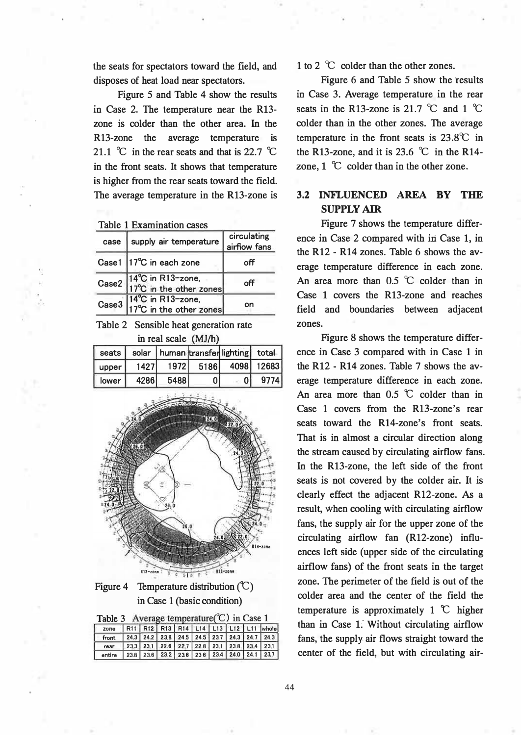the seats for spectators toward the field, and disposes of heat load near spectators.

Figure 5 and Table 4 show the results in Case 2. The temperature near the R13 zone is colder than the other area. In the R13-zone the average temperature is 21.1 °C in the rear seats and that is 22.7 °C in the front seats. It shows that temperature is higher from the rear seats toward the field. The average temperature in the R13-zone is

Table 1 Examination cases

| case | supply air temperature                                                 | circulating<br>airflow fans |
|------|------------------------------------------------------------------------|-----------------------------|
|      | Case1   17°C in each zone                                              | оff                         |
|      | Case2 $14^{\circ}$ C in R13-zone,<br>$17^{\circ}$ C in the other zones | off                         |
|      | Case3 $14^{\circ}$ C in R13-zone,<br>$17^{\circ}$ C in the other zones |                             |

Table 2 Sensible heat generation rate in real scale (MJ/b)

| seats I |       | solar   human transfer lighting total |    |                      |      |
|---------|-------|---------------------------------------|----|----------------------|------|
| upper   | 1427  |                                       |    | 1972 5186 4098 12683 |      |
| lower   | 4286l | 54881                                 | 01 | 01                   | 9774 |



Figure 4 Temperature distribution  $(\mathbb{C})$ in Case 1 (basic condition)

| Table 3 Average temperature $(C)$ in Case 1                           |  |  |  |  |  |  |  |  |                                                |
|-----------------------------------------------------------------------|--|--|--|--|--|--|--|--|------------------------------------------------|
| zone R11 R12 R13 R14 L14 L13 L12 L11 whole                            |  |  |  |  |  |  |  |  |                                                |
| front                                                                 |  |  |  |  |  |  |  |  | $24.3$ 24.2 23.8 24.5 24.5 23.7 24.3 24.7 24.3 |
| rear                                                                  |  |  |  |  |  |  |  |  |                                                |
| entire   23.8   23.6   23.2   23.6   23.6   23.4   24.0   24.1   23.7 |  |  |  |  |  |  |  |  |                                                |

1 to 2 °C colder than the other zones.

Figure 6 and Table 5 show the results in Case 3. Average temperature in the rear seats in the R13-zone is 21.7  $\degree$ C and 1  $\degree$ C colder than in the other zones. The average temperature in the front seats is  $23.8^{\circ}$ C in the R13-zone, and it is 23.6  $\degree$ C in the R14zone,  $1 \text{ }^{\circ}$ C colder than in the other zone.

## 3.2 INFLUENCED AREA BY THE SUPPLY AIR

Figure 7 shows the temperature difference in Case 2 compared with in Case 1, in the R12 - R14 zones. Table 6 shows the average temperature difference in each zone. An area more than  $0.5$  °C colder than in Case 1 covers the R13-zone and reaches field and boundaries between adjacent zones.

Figure 8 shows the temperature difference in Case 3 compared with in Case 1 in the R12 - R14 zones. Table 7 shows the average temperature difference in each zone. An area more than  $0.5$   $\degree$  colder than in Case 1 covers from the R13-zone's rear seats toward the R14-zone's front seats. That is in almost a circular direction along the stream caused by circulating airflow fans. In the R13-zone, the left side of the front seats is not covered by the colder air. It is clearly effect the adjacent R12-zone. As a result, when cooling with circulating airflow fans, the supply air for the upper zone of the circulating airflow fan (R12-zone) influences left side (upper side of the circulating airflow fans) of the front seats in the target zone. The perimeter of the field is out of the colder area and the center of the field the temperature is approximately 1  $\mathcal{C}$  higher than in Case 1. Without circulating airflow fans, the supply air flows straight toward the center of the field, but with circulating air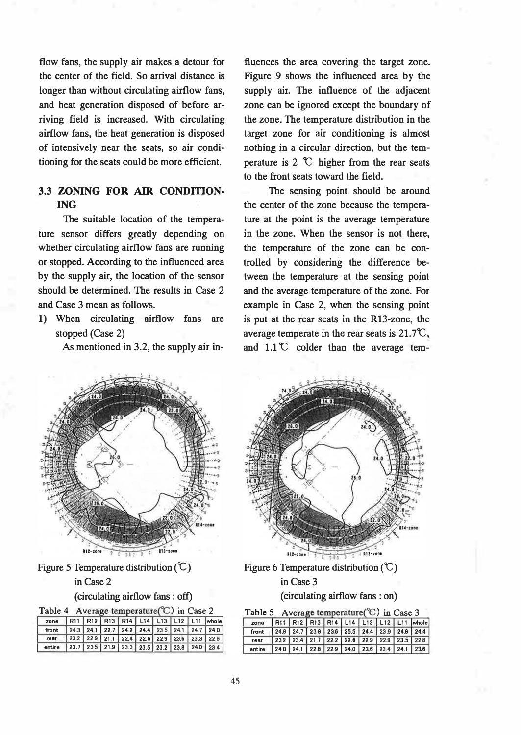flow fans, the supply air makes a detour for the center of the field. So arrival distance is longer than without circulating airflow fans, and heat generation disposed of before arriving field is increased. With circulating airflow fans, the heat generation is disposed of intensively near the seats, so air conditioning for the seats could be more efficient.

## 3.3 ZONING FOR AIR CONDITION-ING

The suitable location of the temperature sensor differs greatly depending on whether circulating airflow fans are running or stopped. According to the influenced area by the supply air, the location of the sensor should be determined. The results in Case 2 and Case 3 mean as follows.

1) When circulating airflow fans are stopped (Case 2)

As mentioned in 3.2, the supply air in-

fluences the area covering the target zone. Figure 9 shows the influenced area by the supply air. The influence of the adjacent zone can be ignored except the boundary of the zone. The temperature distribution in the target zone for air conditioning is almost nothing in a circular direction, but the temperature is 2  $\mathcal{C}$  higher from the rear seats to the front seats toward the field.

The sensing point should be around the center of the zone because the temperature at the point is the average temperature in the zone. When the sensor is not there, the temperature of the zone can be controlled by considering the difference between the temperature at the sensing point and the average temperature of the zone. For example in Case 2, when the sensing point is put at the rear seats in the R13-zone, the average temperate in the rear seats is  $21.7^{\circ}\text{C}$ , and  $1.1^{\circ}$  colder than the average tem-



Figure 5 Temperature distribution  $(\mathbb{C})$ 

### in Case 2

(circulating airflow fans : off)

| Average temperature $(C)$ in Case 2<br>Table 4               |                                                              |  |  |  |  |  |  |  |  |
|--------------------------------------------------------------|--------------------------------------------------------------|--|--|--|--|--|--|--|--|
| zone   R11   R12   R13   R14   L14   L13   L12   L11   whole |                                                              |  |  |  |  |  |  |  |  |
| front 24.3 24.1 22.7 24.2 24.4 23.5 24.1 24.7 24.0           |                                                              |  |  |  |  |  |  |  |  |
| rear                                                         | 23.2   22.9   21.1   22.4   22.6   22.9   23.6   23.3   22.8 |  |  |  |  |  |  |  |  |

entire 23.7 23.5 21.9 23.3 23.5 23.2 23.8 24.0 23.4



Figure 6 Temperature distribution  $(\mathbb{C})$ 

### in Case 3

(circulating airflow fans : on)

| Table 5 Average temperature $(C)$ in Case 3                  |                                              |  |  |  |  |
|--------------------------------------------------------------|----------------------------------------------|--|--|--|--|
| zone   R11   R12   R13   R14   L14   L13   L12   L11   whole |                                              |  |  |  |  |
| front                                                        | $24.8$ 24.7 238 236 25.5 24.4 23.9 24.8 24.4 |  |  |  |  |
| rear                                                         | 232 234 21.7 22.2 22.6 229 22.9 23.5 22.8    |  |  |  |  |
| entire                                                       | 240 241 228 229 240 236 234 241 236          |  |  |  |  |